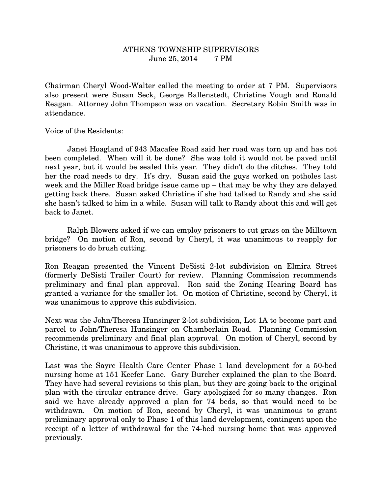## ATHENS TOWNSHIP SUPERVISORS June 25, 2014 7 PM

Chairman Cheryl Wood-Walter called the meeting to order at 7 PM. Supervisors also present were Susan Seck, George Ballenstedt, Christine Vough and Ronald Reagan. Attorney John Thompson was on vacation. Secretary Robin Smith was in attendance.

Voice of the Residents:

 Janet Hoagland of 943 Macafee Road said her road was torn up and has not been completed. When will it be done? She was told it would not be paved until next year, but it would be sealed this year. They didn't do the ditches. They told her the road needs to dry. It's dry. Susan said the guys worked on potholes last week and the Miller Road bridge issue came up – that may be why they are delayed getting back there. Susan asked Christine if she had talked to Randy and she said she hasn't talked to him in a while. Susan will talk to Randy about this and will get back to Janet.

 Ralph Blowers asked if we can employ prisoners to cut grass on the Milltown bridge? On motion of Ron, second by Cheryl, it was unanimous to reapply for prisoners to do brush cutting.

Ron Reagan presented the Vincent DeSisti 2-lot subdivision on Elmira Street (formerly DeSisti Trailer Court) for review. Planning Commission recommends preliminary and final plan approval. Ron said the Zoning Hearing Board has granted a variance for the smaller lot. On motion of Christine, second by Cheryl, it was unanimous to approve this subdivision.

Next was the John/Theresa Hunsinger 2-lot subdivision, Lot 1A to become part and parcel to John/Theresa Hunsinger on Chamberlain Road. Planning Commission recommends preliminary and final plan approval. On motion of Cheryl, second by Christine, it was unanimous to approve this subdivision.

Last was the Sayre Health Care Center Phase 1 land development for a 50-bed nursing home at 151 Keefer Lane. Gary Burcher explained the plan to the Board. They have had several revisions to this plan, but they are going back to the original plan with the circular entrance drive. Gary apologized for so many changes. Ron said we have already approved a plan for 74 beds, so that would need to be withdrawn. On motion of Ron, second by Cheryl, it was unanimous to grant preliminary approval only to Phase 1 of this land development, contingent upon the receipt of a letter of withdrawal for the 74-bed nursing home that was approved previously.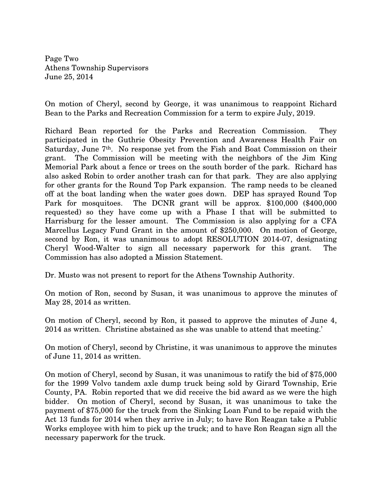Page Two Athens Township Supervisors June 25, 2014

On motion of Cheryl, second by George, it was unanimous to reappoint Richard Bean to the Parks and Recreation Commission for a term to expire July, 2019.

Richard Bean reported for the Parks and Recreation Commission. They participated in the Guthrie Obesity Prevention and Awareness Health Fair on Saturday, June 7th. No response yet from the Fish and Boat Commission on their grant. The Commission will be meeting with the neighbors of the Jim King Memorial Park about a fence or trees on the south border of the park. Richard has also asked Robin to order another trash can for that park. They are also applying for other grants for the Round Top Park expansion. The ramp needs to be cleaned off at the boat landing when the water goes down. DEP has sprayed Round Top Park for mosquitoes. The DCNR grant will be approx. \$100,000 (\$400,000 requested) so they have come up with a Phase I that will be submitted to Harrisburg for the lesser amount. The Commission is also applying for a CFA Marcellus Legacy Fund Grant in the amount of \$250,000. On motion of George, second by Ron, it was unanimous to adopt RESOLUTION 2014-07, designating Cheryl Wood-Walter to sign all necessary paperwork for this grant. The Commission has also adopted a Mission Statement.

Dr. Musto was not present to report for the Athens Township Authority.

On motion of Ron, second by Susan, it was unanimous to approve the minutes of May 28, 2014 as written.

On motion of Cheryl, second by Ron, it passed to approve the minutes of June 4, 2014 as written. Christine abstained as she was unable to attend that meeting.'

On motion of Cheryl, second by Christine, it was unanimous to approve the minutes of June 11, 2014 as written.

On motion of Cheryl, second by Susan, it was unanimous to ratify the bid of \$75,000 for the 1999 Volvo tandem axle dump truck being sold by Girard Township, Erie County, PA. Robin reported that we did receive the bid award as we were the high bidder. On motion of Cheryl, second by Susan, it was unanimous to take the payment of \$75,000 for the truck from the Sinking Loan Fund to be repaid with the Act 13 funds for 2014 when they arrive in July; to have Ron Reagan take a Public Works employee with him to pick up the truck; and to have Ron Reagan sign all the necessary paperwork for the truck.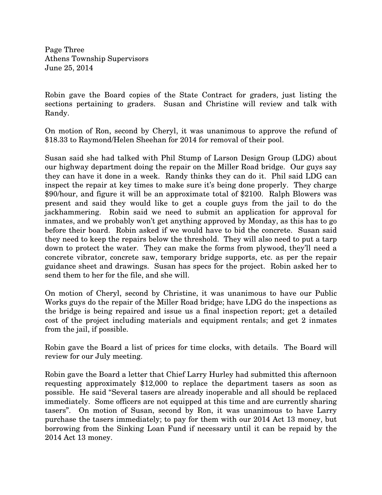Page Three Athens Township Supervisors June 25, 2014

Robin gave the Board copies of the State Contract for graders, just listing the sections pertaining to graders. Susan and Christine will review and talk with Randy.

On motion of Ron, second by Cheryl, it was unanimous to approve the refund of \$18.33 to Raymond/Helen Sheehan for 2014 for removal of their pool.

Susan said she had talked with Phil Stump of Larson Design Group (LDG) about our highway department doing the repair on the Miller Road bridge. Our guys say they can have it done in a week. Randy thinks they can do it. Phil said LDG can inspect the repair at key times to make sure it's being done properly. They charge \$90/hour, and figure it will be an approximate total of \$2100. Ralph Blowers was present and said they would like to get a couple guys from the jail to do the jackhammering. Robin said we need to submit an application for approval for inmates, and we probably won't get anything approved by Monday, as this has to go before their board. Robin asked if we would have to bid the concrete. Susan said they need to keep the repairs below the threshold. They will also need to put a tarp down to protect the water. They can make the forms from plywood, they'll need a concrete vibrator, concrete saw, temporary bridge supports, etc. as per the repair guidance sheet and drawings. Susan has specs for the project. Robin asked her to send them to her for the file, and she will.

On motion of Cheryl, second by Christine, it was unanimous to have our Public Works guys do the repair of the Miller Road bridge; have LDG do the inspections as the bridge is being repaired and issue us a final inspection report; get a detailed cost of the project including materials and equipment rentals; and get 2 inmates from the jail, if possible.

Robin gave the Board a list of prices for time clocks, with details. The Board will review for our July meeting.

Robin gave the Board a letter that Chief Larry Hurley had submitted this afternoon requesting approximately \$12,000 to replace the department tasers as soon as possible. He said "Several tasers are already inoperable and all should be replaced immediately. Some officers are not equipped at this time and are currently sharing tasers". On motion of Susan, second by Ron, it was unanimous to have Larry purchase the tasers immediately; to pay for them with our 2014 Act 13 money, but borrowing from the Sinking Loan Fund if necessary until it can be repaid by the 2014 Act 13 money.